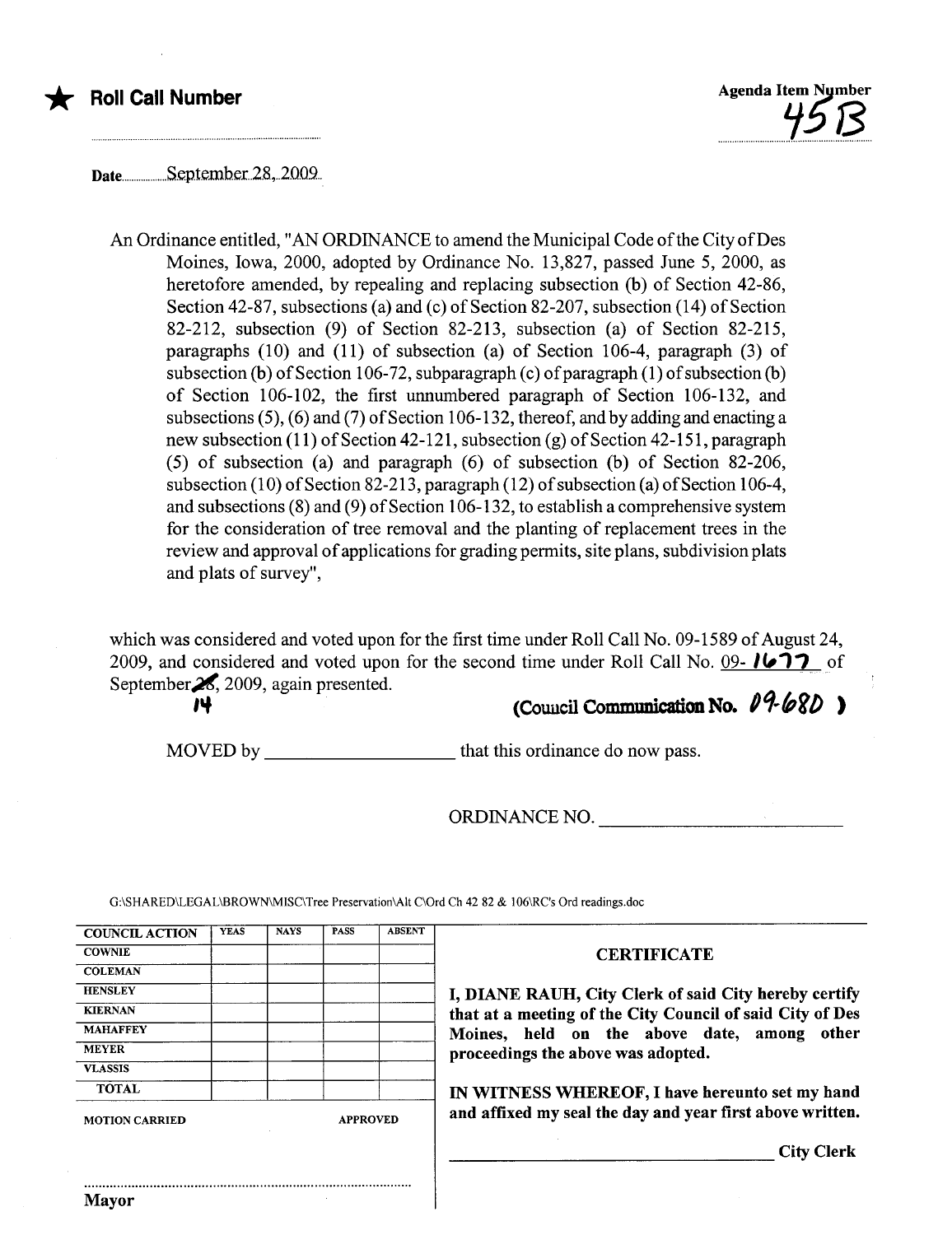

# **Roll Call Number**



Date...................S.e.p.tember..2.8...2009..

An Ordinance entitled, "AN ORDINANCE to amend the Municipal Code of the City of Des Moines, Iowa, 2000, adopted by Ordinance No. 13,827, passed June 5, 2000, as heretofore amended, by repealing and replacing subsection (b) of Section 42-86, Section 42-87, subsections (a) and (c) of Section 82-207, subsection (14) of Section 82-212, subsection (9) of Section 82-213, subsection (a) of Section 82-215, paragraphs (10) and (11) of subsection (a) of Section 106-4, paragraph (3) of subsection (b) of Section 106-72, subparagraph (c) of paragraph (1) of subsection (b) of Section 106-102, the first unnumbered paragraph of Section 106-132, and subsections (5), (6) and (7) of Section 106-132, thereof, and by adding and enacting a new subsection (11) of Section 42-121, subsection (g) of Section 42-151, paragraph (5) of subsection (a) and paragraph (6) of subsection (b) of Section 82-206, subsection (10) of Section 82-213, paragraph (12) of subsection (a) of Section 106-4, and subsections (8) and (9) of Section 106-132, to establish a comprehensive system for the consideration of tree removal and the planting of replacement trees in the review and approval of applications for grading permits, site plans, subdivision plats and plats of survey",

which was considered and voted upon for the first time under Roll Call No. 09-1589 of August 24, 2009, and considered and voted upon for the second time under Roll Call No. 09-  $1677$  of September $\frac{2}{\sqrt{2}}$ , 2009, again presented.

Mayor

# (Council Communication No.  $09-68D$ )

MOVED by that this ordinance do now pass.

ORDINANCE NO.

| <b>COUNCIL ACTION</b>                    | <b>YEAS</b> | <b>NAYS</b> | <b>PASS</b> | <b>ABSENT</b> |                                                           |
|------------------------------------------|-------------|-------------|-------------|---------------|-----------------------------------------------------------|
| <b>COWNIE</b>                            |             |             |             |               | <b>CERTIFICATE</b>                                        |
| <b>COLEMAN</b>                           |             |             |             |               |                                                           |
| <b>HENSLEY</b>                           |             |             |             |               | I, DIANE RAUH, City Clerk of said City hereby certify     |
| <b>KIERNAN</b>                           |             |             |             |               | that at a meeting of the City Council of said City of Des |
| <b>MAHAFFEY</b>                          |             |             |             |               | Moines, held on the above date, among other               |
| <b>MEYER</b>                             |             |             |             |               | proceedings the above was adopted.                        |
| <b>VLASSIS</b>                           |             |             |             |               |                                                           |
| <b>TOTAL</b>                             |             |             |             |               | IN WITNESS WHEREOF, I have hereunto set my hand           |
| <b>APPROVED</b><br><b>MOTION CARRIED</b> |             |             |             |               | and affixed my seal the day and year first above written. |
|                                          |             |             |             |               | <b>City Clerk</b>                                         |

G:\SHARED\LEGAL\BROWN\MISC\Tree Preservation\Alt C\Ord Ch 42 82 & I06\RC's Ord readings.doc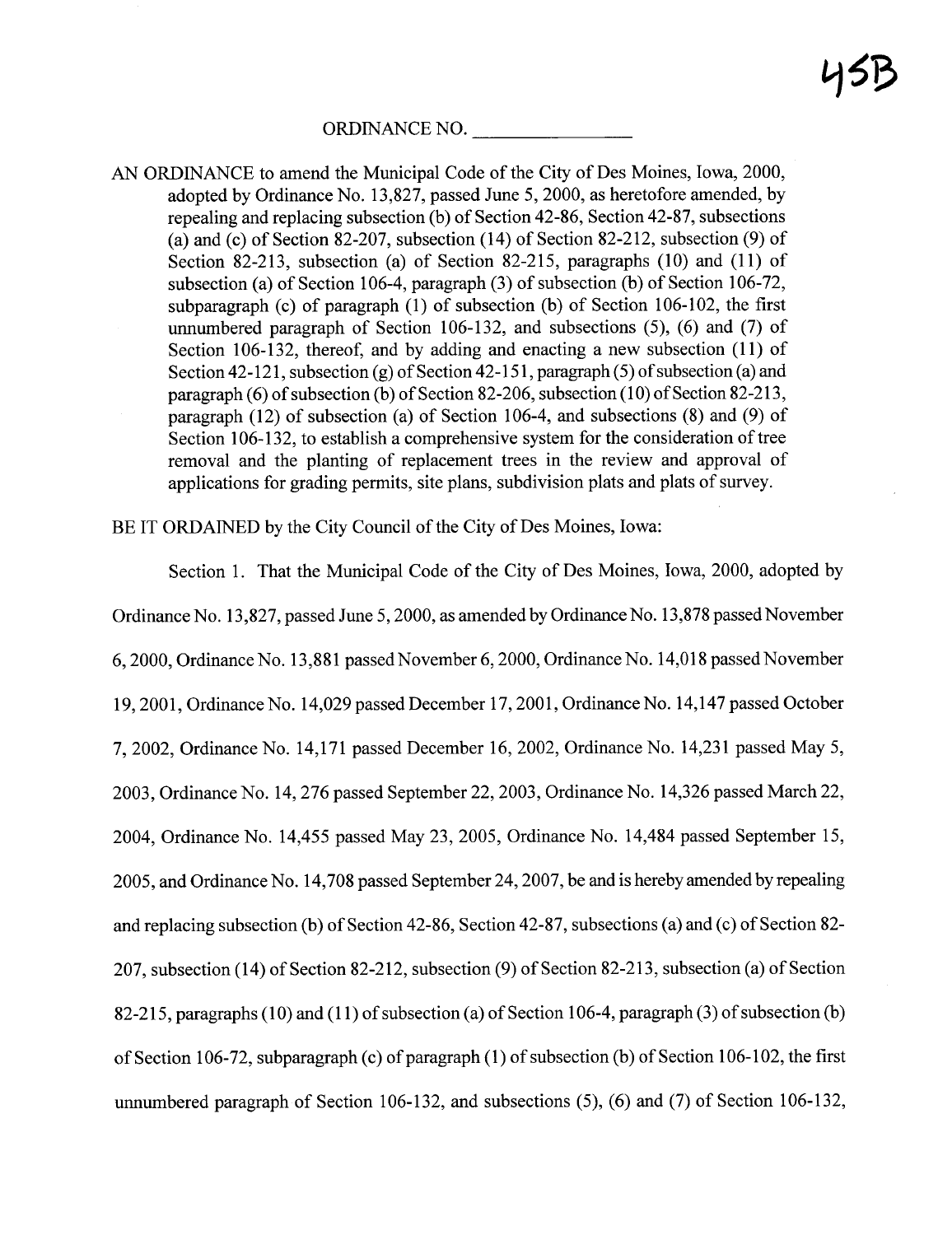ORDINANCE NO.

AN ORDINANCE to amend the Municipal Code of the City of Des Moines, Iowa, 2000, adopted by Ordinance No. 13,827, passed June 5, 2000, as heretofore amended, by repealing and replacing subsection (b) of Section 42-86, Section 42-87, subsections (a) and (c) of Section 82-207, subsection  $(14)$  of Section 82-212, subsection  $(9)$  of Section 82-213, subsection (a) of Section 82-215, paragraphs (10) and (11) of subsection (a) of Section 106-4, paragraph (3) of subsection (b) of Section 106-72, subparagraph (c) of paragraph  $(1)$  of subsection  $(b)$  of Section 106-102, the first unumbered paragraph of Section 106-132, and subsections (5), (6) and (7) of Section 106-132, thereof, and by adding and enacting a new subsection (11) of Section 42-121, subsection (g) of Section 42-151, paragraph (5) of subsection (a) and paragraph (6) of subsection (b) of Section 82-206, subsection (10) of Section 82-213, paragraph (12) of subsection (a) of Section 106-4, and subsections (8) and (9) of Section 106-132, to establish a comprehensive system for the consideration of tree removal and the planting of replacement trees in the review and approval of applications for grading permits, site plans, subdivision plats and plats of survey.

BE IT ORDAINED by the City Council of the City of Des Moines, Iowa:

Section 1. That the Municipal Code of the City of Des Moines, Iowa, 2000, adopted by Ordinance No. 13,827, passed June 5, 2000, as amended by Ordinance No. 13,878 passed November 6,2000, Ordinance No. 13,881 passed November 6, 2000, Ordinance No. 14,018 passed November 19,2001, Ordinance No. 14,029 passed December 17,2001, Ordinance No. 14,147 passed October 7,2002, Ordinance No. 14,171 passed December 16,2002, Ordinance No. 14,231 passed May 5, 2003, Ordinance No. 14,276 passed September 22, 2003, Ordinance No. 14,326 passed March 22, 2004, Ordinance No. 14,455 passed May 23,2005, Ordinance No. 14,484 passed September 15, 2005, and Ordinance No. 14,708 passed September 24,2007, be and is hereby amended by repealing and replacing subsection (b) of Section 42-86, Section 42-87, subsections (a) and (c) of Section 82- 207, subsection (14) of Section 82-212, subsection (9) of Section 82-213, subsection (a) of Section 82-215, paragraphs (10) and (11) of subsection (a) of Section 106-4, paragraph (3) of subsection (b) of Section 106-72, subparagraph (c) of paragraph (1) of subsection (b) of Section 106-102, the first unnumbered paragraph of Section 106-132, and subsections (5), (6) and (7) of Section 106-132,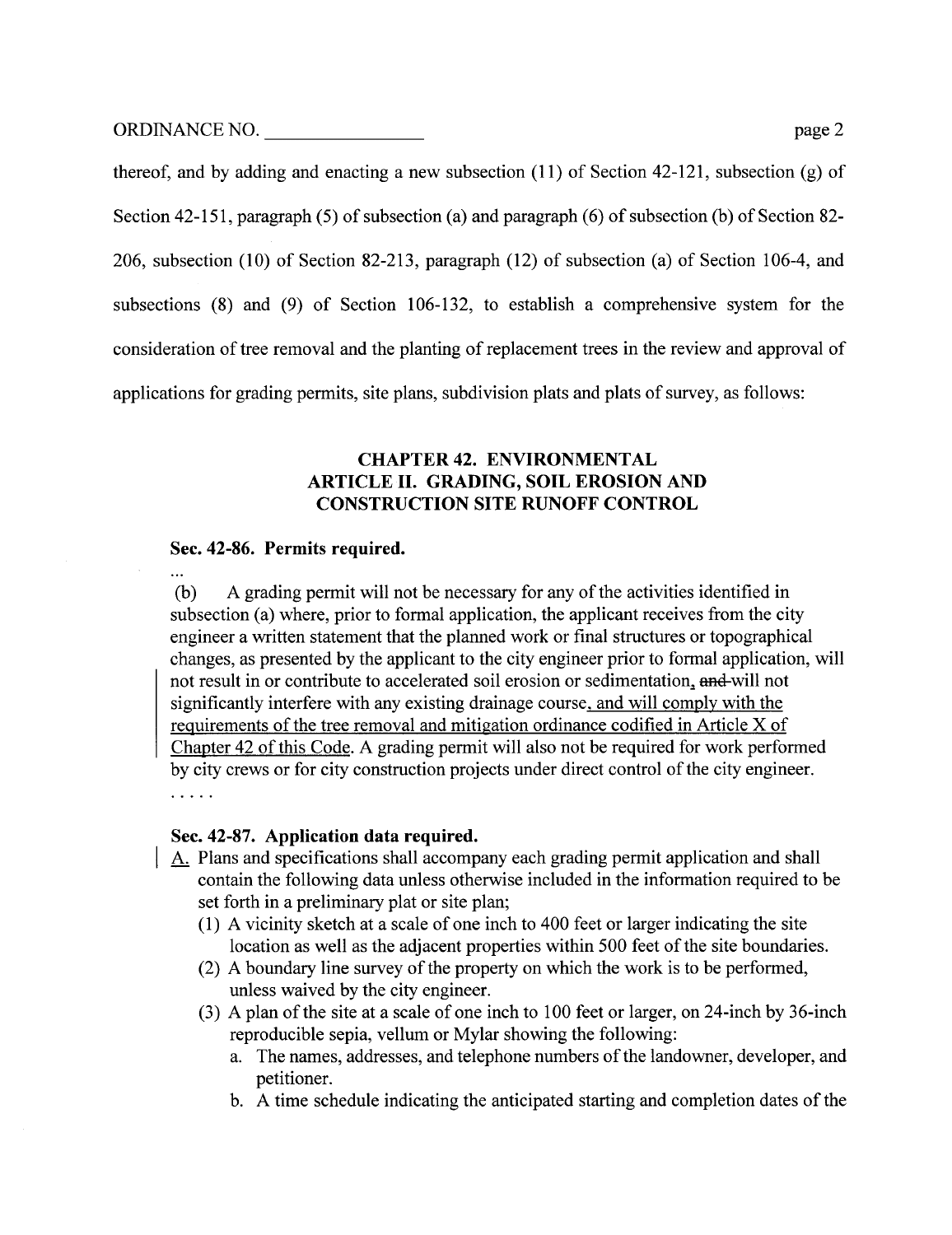ORDINANCE NO. page 2

 $\ddotsc$ 

thereof, and by adding and enacting a new subsection (11) of Section 42-121, subsection (g) of Section 42-151, paragraph (5) of subsection (a) and paragraph (6) of subsection (b) of Section 82- 206, subsection (10) of Section 82-213, paragraph (12) of subsection (a) of Section 106-4, and subsections (8) and (9) of Section 106-132, to establish a comprehensive system for the consideration of tree removal and the planting of replacement trees in the review and approval of

applications for grading permits, site plans, subdivision plats and plats of survey, as follows:

# CHAPTER 42. ENVIRONMENTAL ARTICLE II. GRADING, SOIL EROSION AND CONSTRUCTION SITE RUNOFF CONTROL

# Sec. 42-86. Permits required.

(b) A grading permit will not be necessary for any of the activities identified in subsection (a) where, prior to formal application, the applicant receives from the city engineer a written statement that the planed work or final structures or topographical changes, as presented by the applicant to the city engineer prior to formal application, wil not result in or contribute to accelerated soil erosion or sedimentation, and will not significantly interfere with any existing drainage course, and will comply with the requirements of the tree removal and mitigation ordinance codified in Article X of Chapter 42 of this Code. A grading permit will also not be required for work performed by city crews or for city construction projects under direct control of the city engineer.  $\cdots$ 

# Sec. 42-87. Application data required.

- A. Plans and specifications shall accompany each grading permit application and shall contain the following data unless otherwise included in the information required to be set forth in a preliminary plat or site plan;
	- (1) A vicinity sketch at a scale of one inch to 400 feet or larger indicating the site location as well as the adjacent properties within 500 feet of the site boundaries.
	- (2) A boundary line survey of the property on which the work is to be performed, unless waived by the city engineer.
	- (3) A plan of the site at a scale of one inch to 100 feet or larger, on 24-inch by 36-inch reproducible sepia, vellum or Mylar showing the following:
		- a. The names, addresses, and telephone numbers of the landowner, developer, and petitioner.
		- b. A time schedule indicating the anticipated staring and completion dates of the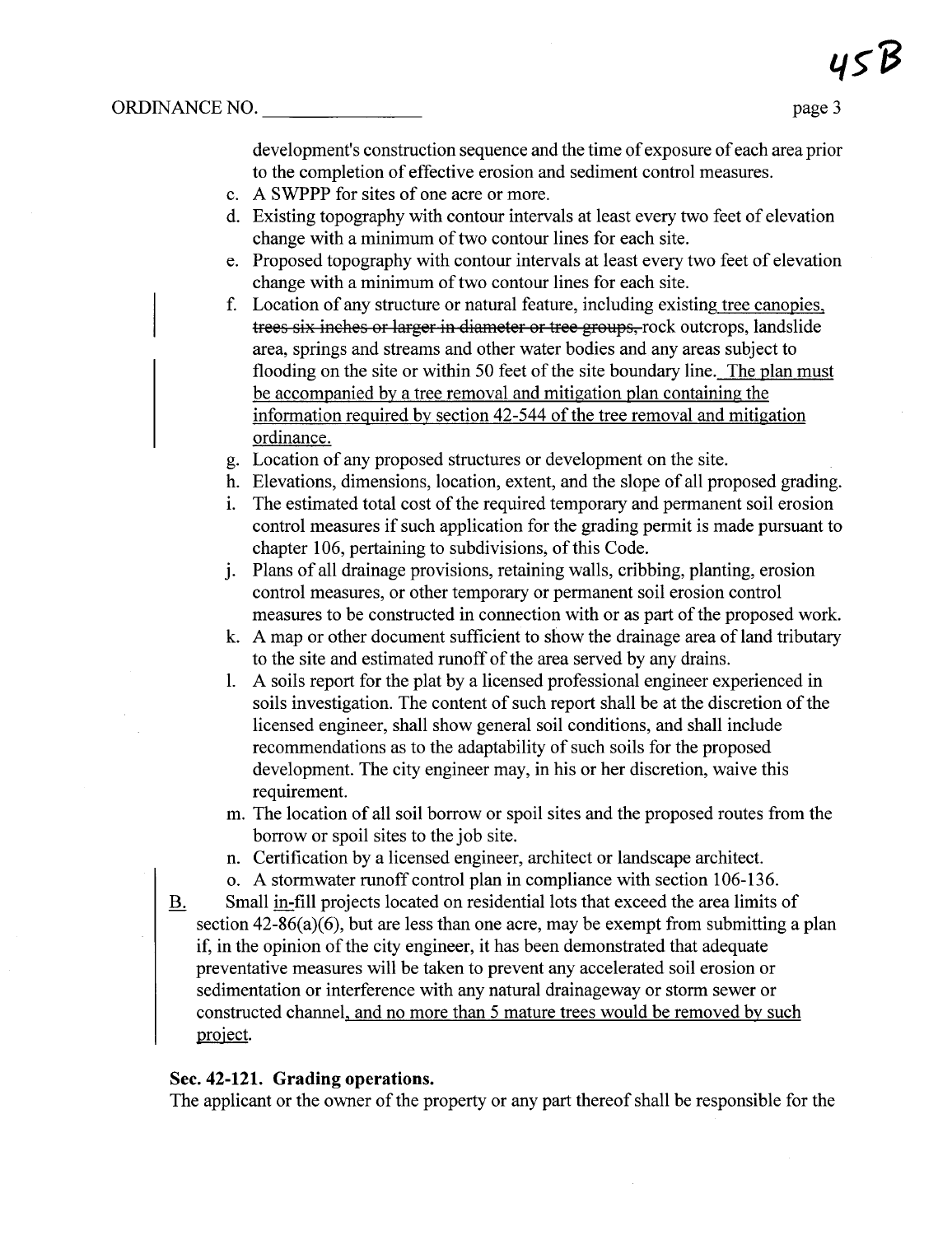development's construction sequence and the time of exposure of each area prior to the completion of effective erosion and sediment control measures.

- c. A SWPPP for sites of one acre or more.
- d. Existing topography with contour intervals at least every two feet of elevation change with a minimum of two contour lines for each site.
- e. Proposed topography with contour intervals at least every two feet of elevation change with a minimum of two contour lines for each site.
- f. Location of any structure or natural feature, including existing tree canopies, trees six inches or larger in diameter or tree groups, rock outcrops, landslide area, springs and streams and other water bodies and any areas subject to flooding on the site or within 50 feet of the site boundary line. The plan must be accompanied by a tree removal and mitigation plan containing the information required by section 42-544 of the tree removal and mitigation ordinance.
- g. Location of any proposed structures or development on the site.
- h. Elevations, dimensions, location, extent, and the slope of all proposed grading.
- 1. The estimated total cost of the required temporary and permanent soil erosion control measures if such application for the grading permit is made pursuant to chapter 106, pertaining to subdivisions, of this Code.
- J. Plans of all drainage provisions, retaining walls, cribbing, planting, erosion control measures, or other temporary or permanent soil erosion control measures to be constructed in connection with or as part of the proposed work.
- k. A map or other document sufficient to show the drainage area of land tributar to the site and estimated runoff of the area served by any drains.
- 1. A soils report for the plat by a licensed professional engineer experienced in soils investigation. The content of such report shall be at the discretion of the licensed engineer, shall show general soil conditions, and shall include recommendations as to the adaptability of such soils for the proposed development. The city engineer may, in his or her discretion, waive this requirement.
- m. The location of all soil borrow or spoil sites and the proposed routes from the borrow or spoil sites to the job site.
- n. Certification by a licensed engineer, architect or landscape architect.
- o. A stormwater runoff control plan in compliance with section 106-136.
- B. Small in-fill projects located on residential lots that exceed the area limits of section 42-86(a)(6), but are less than one acre, may be exempt from submitting a plan if, in the opinion of the city engineer, it has been demonstrated that adequate preventative measures will be taken to prevent any accelerated soil erosion or sedimentation or interference with any natural drainageway or storm sewer or constructed channel, and no more than 5 mature trees would be removed by such proiect.

### Sec. 42-121. Grading operations.

The applicant or the owner of the property or any part thereof shall be responsible for the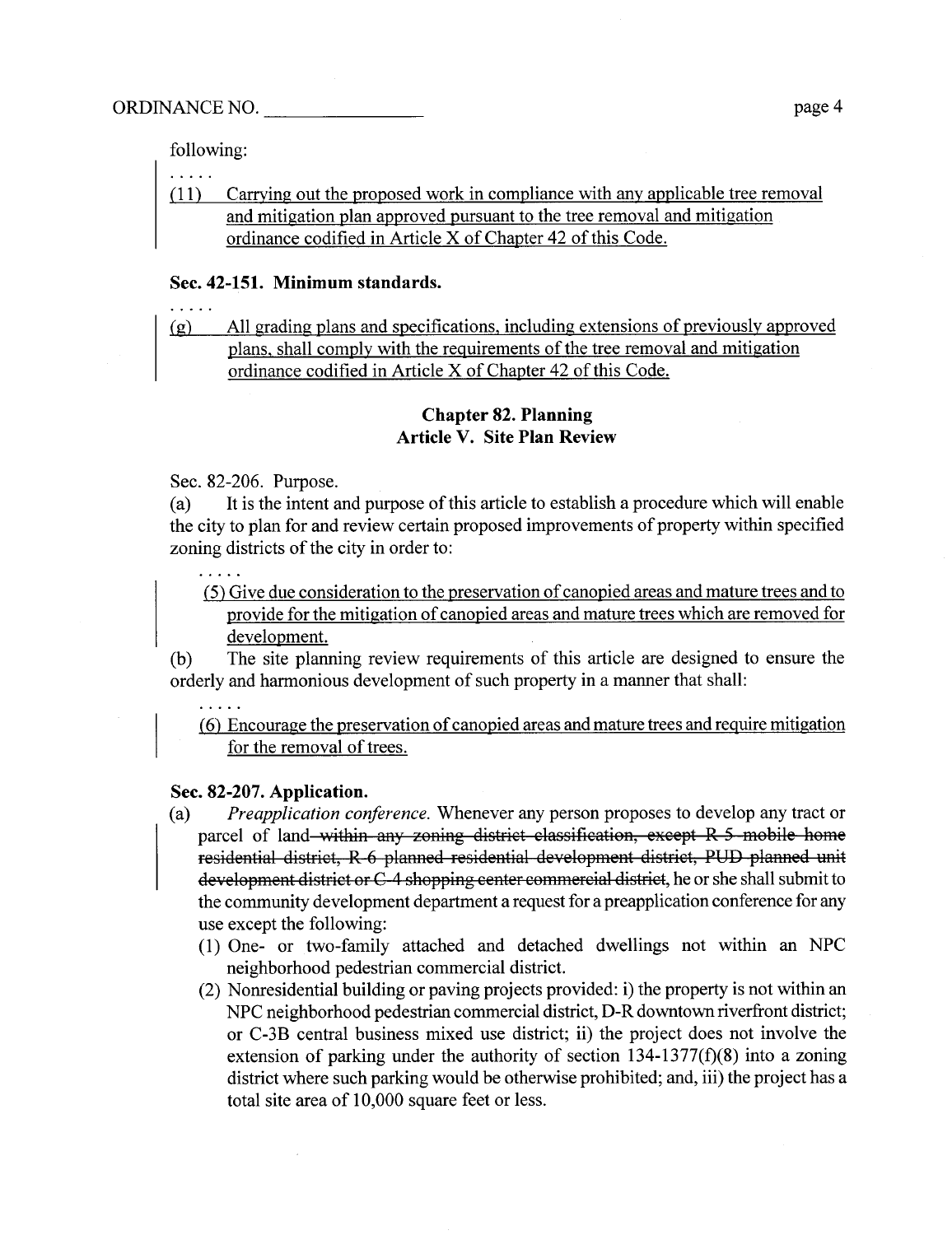following:

| (11) Carrying out the proposed work in compliance with any applicable tree removal |
|------------------------------------------------------------------------------------|
| and mitigation plan approved pursuant to the tree removal and mitigation           |
| ordinance codified in Article X of Chapter 42 of this Code.                        |

#### Sec. 42-151. Minimum standards.

(g) All grading plans and specifications, including extensions of previously approved plans, shall comply with the requirements of the tree removal and mitigation ordinance codified in Article X of Chapter 42 of this Code.

### Chapter 82. Planning Article V. Site Plan Review

Sec. 82-206. Purpose.

(a) It is the intent and purpose of this article to establish a procedure which will enable the city to plan for and review certain proposed improvements of property within specified zoning districts of the city in order to:

(5) Give due consideration to the preservation of canopied areas and mature trees and to provide for the mitigation of canopied areas and mature trees which are removed for development.

(b) The site planning review requirements of this article are designed to ensure the orderly and harmonious development of such property in a manner that shall:

(6) Encourage the preservation of canopied areas and mature trees and require mitigation for the removal of trees.

#### Sec. 82-207. Application.

- (a) Preapplication conference. Whenever any person proposes to develop any tract or parcel of land within any zoning district classification, except R 5 mobile home residential district, R 6 planed residential development distriet, PUD planed unit development district or C-4 shopping center commercial district, he or she shall submit to the community development deparment a request for a preapplication conference for any use except the following:
	- (1) One- or two-family attached and detached dwellings not within an NPC neighborhood pedestrian commercial district.
	- $(2)$  Nonresidential building or paving projects provided: i) the property is not within an NPC neighborhood pedestrian commercial district, D- R downtown riverfont district; or C-3B central business mixed use district; ii) the project does not involve the extension of parking under the authority of section 134-1377(f)(8) into a zoning district where such parking would be otherwise prohibited; and, iii) the project has a total site area of 10,000 square feet or less.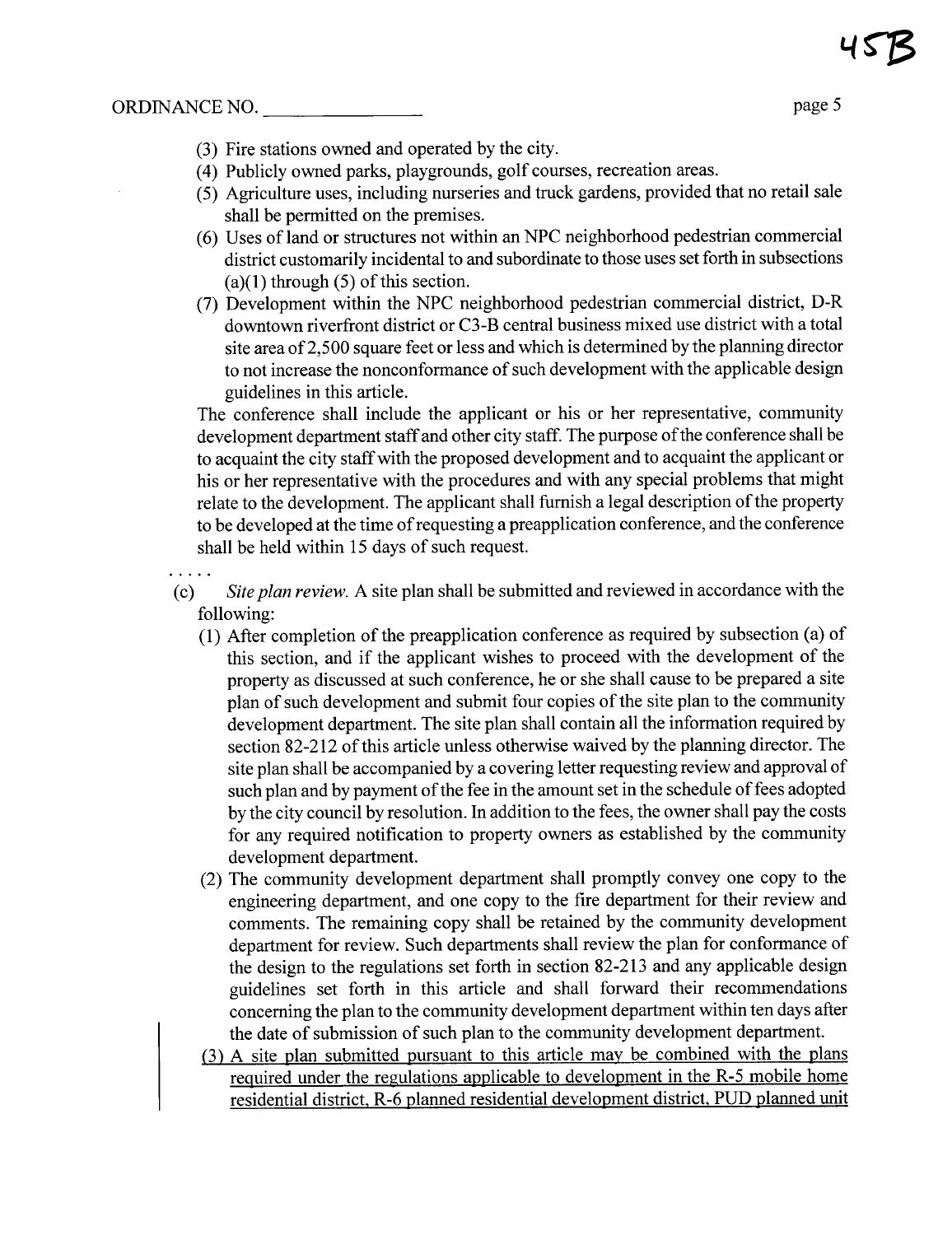- (3) Fire stations owned and operated by the city.
- (4) Publicly owned parks, playgrounds, golf courses, recreation areas.
- (5) Agriculture uses, including nurseries and truck gardens, provided that no retail sale shall be permitted on the premises.
- (6) Uses of land or structures not within an NPC neighborhood pedestrian commercial district customarily incidental to and subordinate to those uses set forth in subsections  $(a)(1)$  through  $(5)$  of this section.
- (7) Development within the NPC neighborhood pedestrian commercial district, D- R downtown riverfront district or C3-B central business mixed use district with a total site area of 2,500 square feet or less and which is determined by the planning director to not increase the nonconformance of such development with the applicable design guidelines in this aricle.

The conference shall include the applicant or his or her representative, community development deparment staff and other city staff. The purpose of the conference shall be to acquaint the city staffwith the proposed development and to acquaint the applicant or his or her representative with the procedures and with any special problems that might relate to the development. The applicant shall furnish a legal description of the property to be developed at the time of requesting a preapplication conference, and the conference shall be held within 15 days of such request.

(c) Site plan review. A site plan shall be submitted and reviewed in accordance with the following:

- (1) After completion of the preapplication conference as required by subsection (a) of this section, and if the applicant wishes to proceed with the development of the property as discussed at such conference, he or she shall cause to be prepared a site plan of such development and submit four copies of the site plan to the community development department. The site plan shall contain all the information required by section 82-212 of this article unless otherwise waived by the planning director. The site plan shall be accompanied by a covering letter requesting review and approval of such plan and by payment of the fee in the amount set in the schedule of fees adopted by the city council by resolution. In addition to the fees, the owner shall pay the costs for any required notification to property owners as established by the community development department.
- (2) The community development deparment shall promptly convey one copy to the engineering deparment, and one copy to the fire deparment for their review and comments. The remaining copy shall be retained by the community development department for review. Such deparments shall review the plan for conformance of the design to the regulations set forth in section 82-213 and any applicable design guidelines set forth in this aricle and shall forward their recommendations concerning the plan to the community development department within ten days after the date of submission of such plan to the community development department.
- (3) A site plan submitted pursuant to this article may be combined with the plans required under the regulations applicable to development in the R-5 mobile home residential district, R-6 planned residential development district, PUD planned unit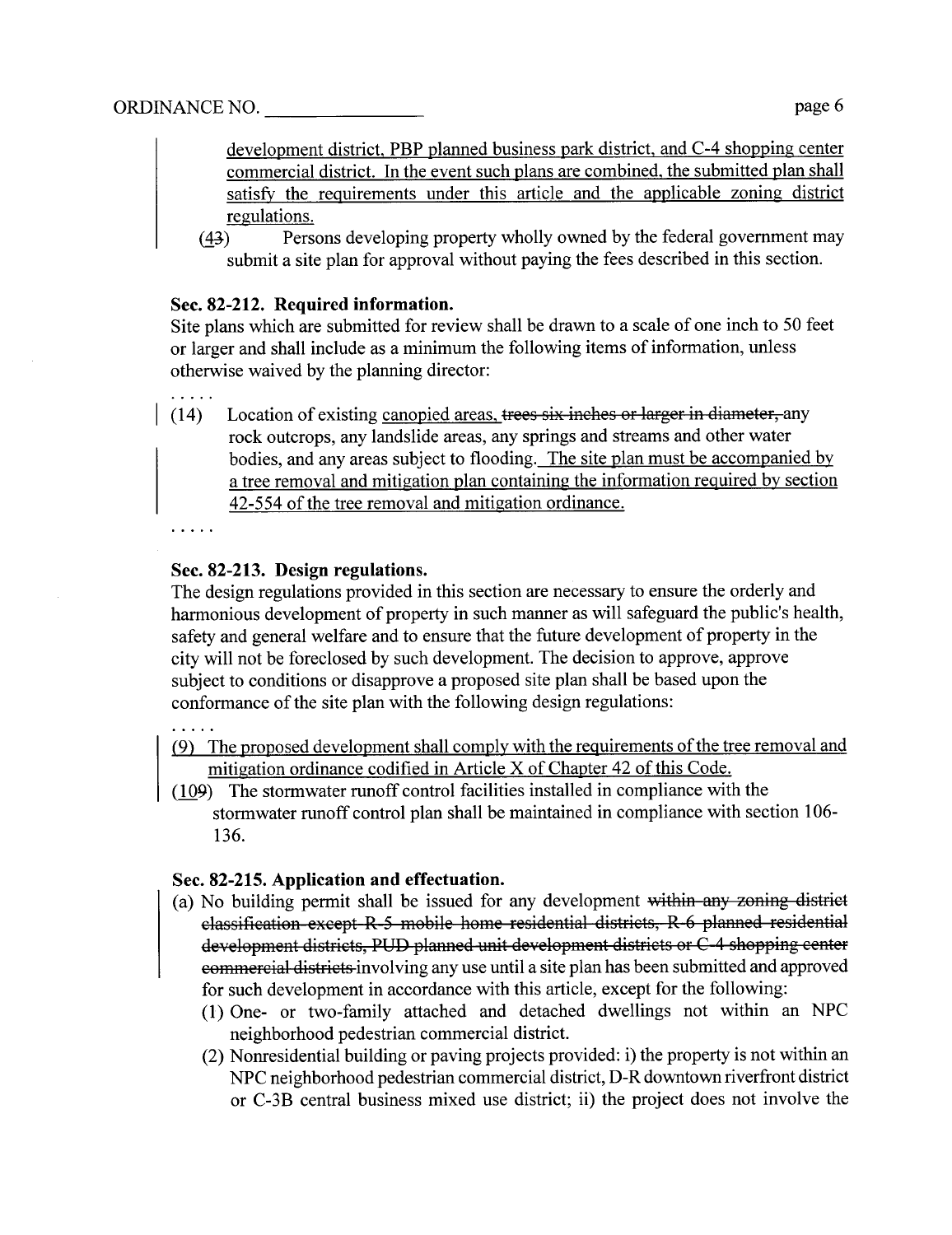. . . . .

development district, PBP planed business park district, and C-4 shopping center commercial district. In the event such plans are combined, the submitted plan shall satisfy the requirements under this article and the applicable zoning district regulations.

(43) Persons developing property wholly owned by the federal government may submit a site plan for approval without paying the fees described in this section.

# Sec. 82-212. Required information.

Site plans which are submitted for review shall be drawn to a scale of one inch to 50 feet or larger and shall include as a minimum the following items of information, unless otherwise waived by the planning director:

 $(14)$  Location of existing canopied areas, trees six inches or larger in diameter, any rock outcrops, any landslide areas, any springs and streams and other water bodies, and any areas subject to flooding. The site plan must be accompanied by a tree removal and mitigation plan containing the information required by section 42-554 of the tree removal and mitigation ordinance.

# Sec. 82-213. Design regulations.

The design regulations provided in this section are necessary to ensure the orderly and harmonious development of property in such manner as will safeguard the public's health, safety and general welfare and to ensure that the future development of property in the city wil not be foreclosed by such development. The decision to approve, approve subject to conditions or disapprove a proposed site plan shall be based upon the conformance of the site plan with the following design regulations:

# $\overline{1}$  ,  $\overline{1}$  ,  $\overline{1}$

- (9) The proposed development shall comply with the requirements ofthe tree removal and mitigation ordinance codified in Article X of Chapter 42 of this Code.
- (109) The stormwater runoff control facilities installed in compliance with the stormwater ruoff control plan shall be maintained in compliance with section 106- 136.

# Sec. 82-215. Application and effectuation.

- (a) No building permit shall be issued for any development within any zoning district classification except R 5 mobile home residential distriets, R 6 planed residential development districts, PUD planned unit development districts or C-4 shopping center commercial districts involving any use until a site plan has been submitted and approved for such development in accordance with this article, except for the following:
	- (1) One- or two-family attached and detached dwellngs not within an NPC neighborhood pedestrian commercial district.
	- (2) Nonresidential building or paving projects provided: i) the property is not within an NPC neighborhood pedestrian commercial district, D- R downtown riverfont district or C-3B central business mixed use district; ii) the project does not involve the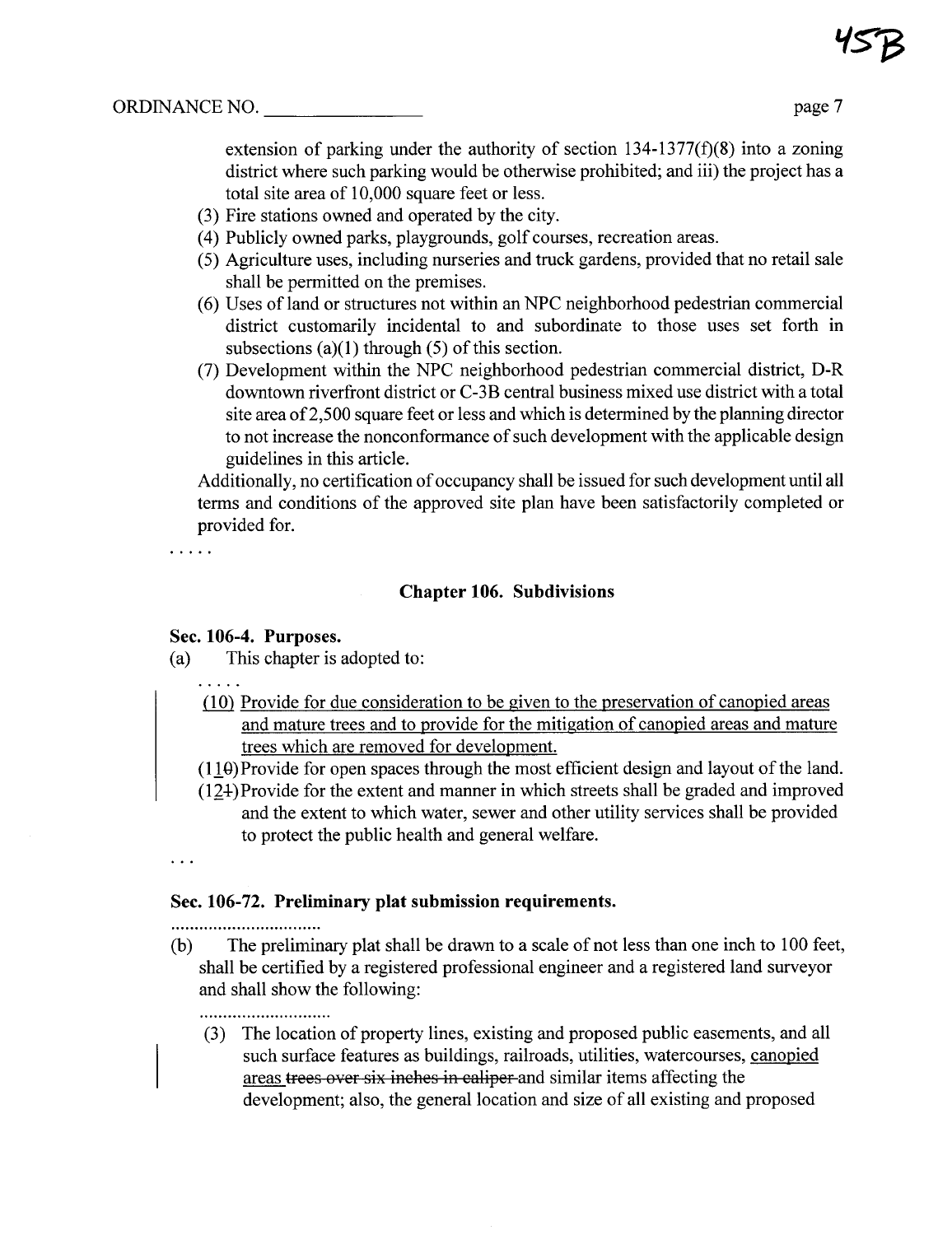extension of parking under the authority of section  $134-1377(f)(8)$  into a zoning district where such parking would be otherwise prohibited; and iii) the project has a total site area of 10,000 square feet or less.

- (3) Fire stations owned and operated by the city.
- (4) Publicly owned parks, playgrounds, golf courses, recreation areas.
- (5) Agriculture uses, including nurseries and truck gardens, provided that no retail sale shall be permitted on the premises.
- (6) Uses of land or structures not within an NPC neighborhood pedestrian commercial district customarily incidental to and subordinate to those uses set forth in subsections  $(a)(1)$  through  $(5)$  of this section.
- (7) Development within the NPC neighborhood pedestrian commercial district, D-R downtown riverfront district or C-3B central business mixed use district with a total site area of 2,500 square feet or less and which is determined by the planning director to not increase the nonconformance of such development with the applicable design guidelines in this aricle.

Additionally, no certification of occupancy shall be issued for such development until all terms and conditions of the approved site plan have been satisfactorily completed or provided for.

 $\cdots$  . . .

### Chapter 106. Subdivisions

### Sec. 106-4. Purposes.

(a) This chapter is adopted to:

- $(10)$  Provide for due consideration to be given to the preservation of canopied areas and mature trees and to provide for the mitigation of canopied areas and mature trees which are removed for development.
- $(110)$  Provide for open spaces through the most efficient design and layout of the land.
- $(124)$  Provide for the extent and manner in which streets shall be graded and improved and the extent to which water, sewer and other utility services shall be provided to protect the public health and general welfare.

### $\ddots$

# Sec. 106-72. Preliminary plat submission requirements.

...............................

(b) The preliminary plat shall be drawn to a scale of not less than one inch to 100 feet, shall be certified by a registered professional engineer and a registered land surveyor and shall show the following:

...........................

(3) The location of property lines, existing and proposed public easements, and all such surface features as buildings, railroads, utilities, watercourses, canopied areas trees over six inches in caliper and similar items affecting the development; also, the general location and size of all existing and proposed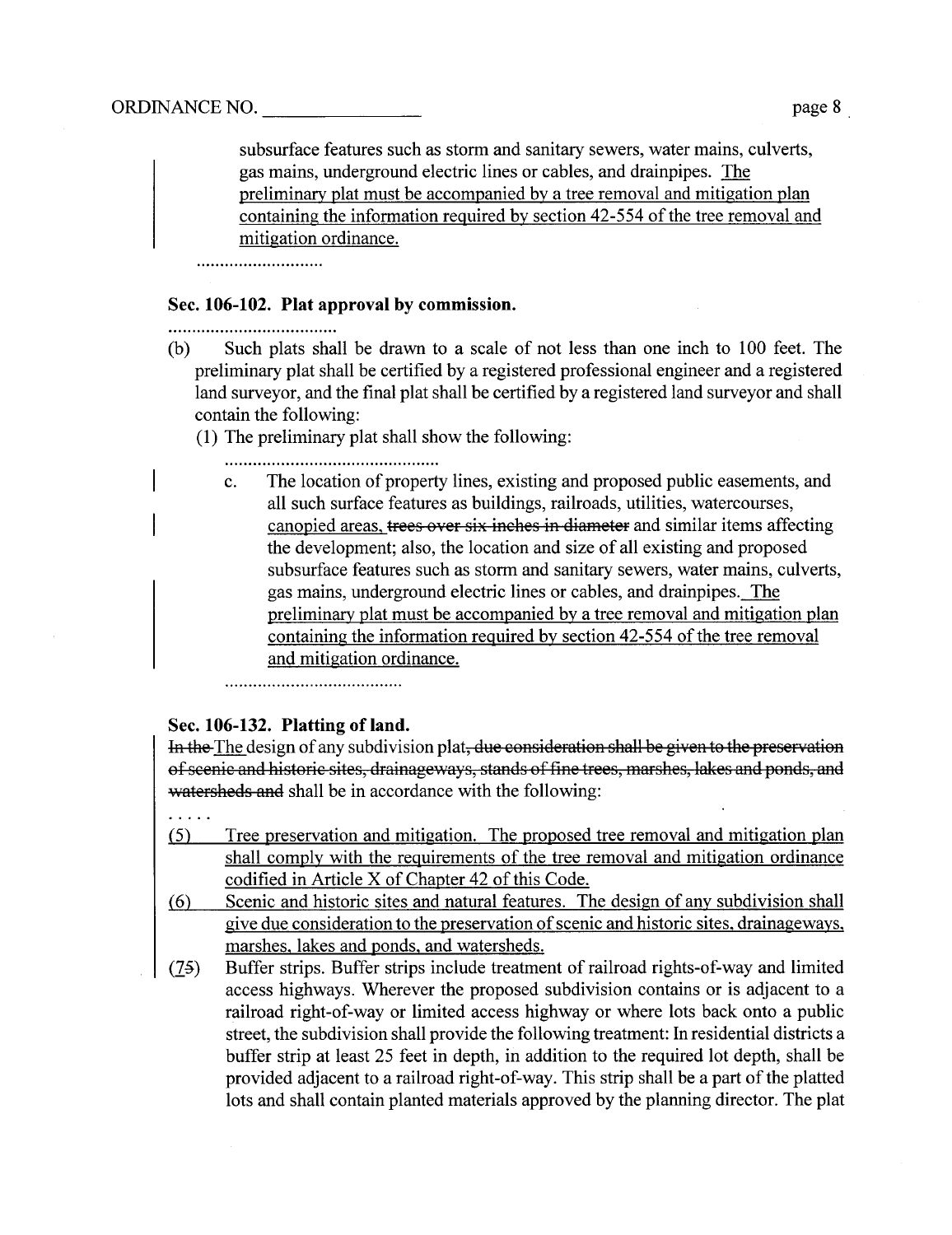subsurface features such as storm and sanitary sewers, water mains, culverts, gas mains, underground electric lines or cables, and drainpipes. The preliminary plat must be accompanied by a tree removal and mitigation plan containing the information required by section 42-554 of the tree removal and mitigation ordinance.

#### Sec. 106-102. Plat approval by commission.

..................................

- (b) Such plats shall be drawn to a scale of not less than one inch to 100 feet. The preliminary plat shall be certified by a registered professional engineer and a registered land surveyor, and the final plat shall be certified by a registered land surveyor and shall contain the following:
	- (1) The preliminar plat shall show the following:
		- - c. The location of property lines, existing and proposed public easements, and all such surface features as buildings, railroads, utilities, watercourses, canopied areas, trees over six inches in diameter and similar items affecting the development; also, the location and size of all existing and proposed subsurface features such as storm and sanitary sewers, water mains, culverts, gas mains, underground electric lines or cables, and drainpipes. The preliminary plat must be accompanied by a tree removal and mitigation plan containing the information required by section 42-554 of the tree removal and mitigation ordinance.

### Sec. 106-132. Platting of land.

In the The design of any subdivision plat, due consideration shall be given to the preservation of seenic and historic sites, drainageways, stands of fine trees, marshes, lakes and ponds, and watersheds and shall be in accordance with the following:

- $\ldots$  . . .
- (5) Tree preservation and mitigation. The proposed tree removal and mitigation plan shall comply with the requirements of the tree removal and mitigation ordinance codified in Aricle X of Chapter 42 of this Code.
- (6) Scenic and historic sites and natural features. The design of any subdivision shall give due consideration to the preservation of scenic and historic sites, drainageways, marshes, lakes and ponds, and watersheds.
- (75) Buffer strips. Buffer strips include treatment of railroad rights-of-way and limited access highways. Wherever the proposed subdivision contains or is adjacent to a railroad right-of-way or limited access highway or where lots back onto a public street, the subdivision shall provide the following treatment: In residential districts a buffer strip at least 25 feet in depth, in addition to the required lot depth, shall be provided adjacent to a railroad right-of-way. This strip shall be a part of the platted lots and shall contain planted materials approved by the planning director. The plat